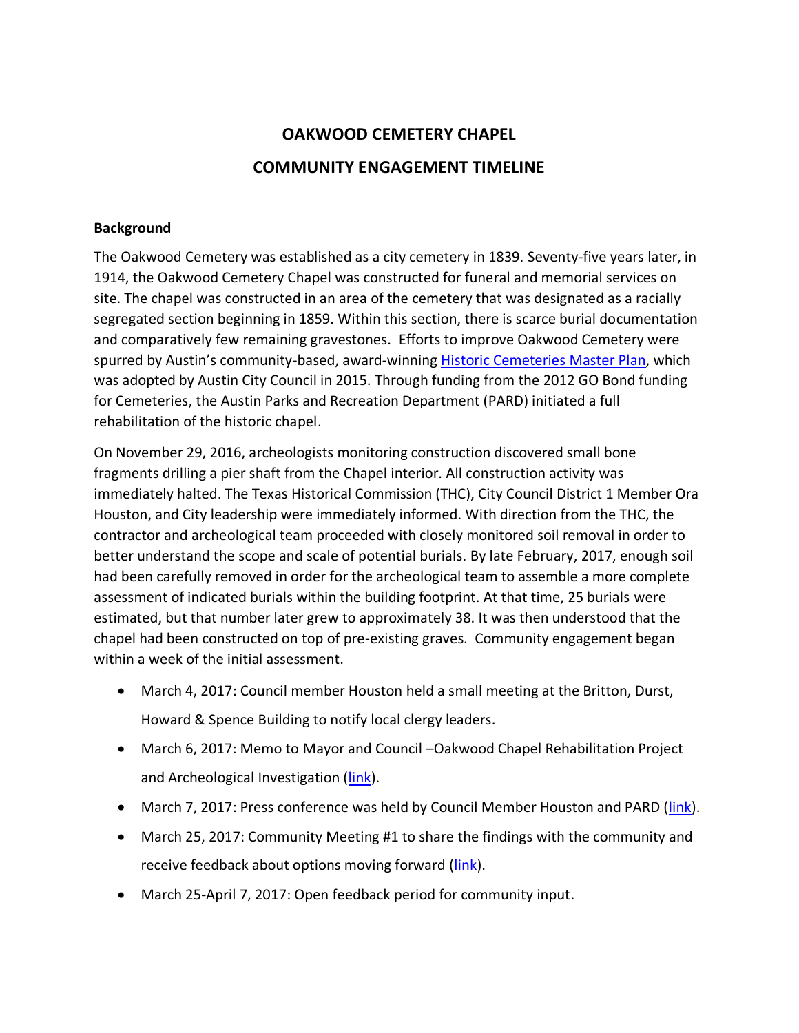## **OAKWOOD CEMETERY CHAPEL COMMUNITY ENGAGEMENT TIMELINE**

## **Background**

The Oakwood Cemetery was established as a city cemetery in 1839. Seventy-five years later, in 1914, the Oakwood Cemetery Chapel was constructed for funeral and memorial services on site. The chapel was constructed in an area of the cemetery that was designated as a racially segregated section beginning in 1859. Within this section, there is scarce burial documentation and comparatively few remaining gravestones. Efforts to improve Oakwood Cemetery were spurred by Austin's community-based, award-winning [Historic Cemeteries](https://www.austintexas.gov/department/cemetery-master-plan) Master Plan, which was adopted by Austin City Council in 2015. Through funding from the 2012 GO Bond funding for Cemeteries, the Austin Parks and Recreation Department (PARD) initiated a full rehabilitation of the historic chapel.

On November 29, 2016, archeologists monitoring construction discovered small bone fragments drilling a pier shaft from the Chapel interior. All construction activity was immediately halted. The Texas Historical Commission (THC), City Council District 1 Member Ora Houston, and City leadership were immediately informed. With direction from the THC, the contractor and archeological team proceeded with closely monitored soil removal in order to better understand the scope and scale of potential burials. By late February, 2017, enough soil had been carefully removed in order for the archeological team to assemble a more complete assessment of indicated burials within the building footprint. At that time, 25 burials were estimated, but that number later grew to approximately 38. It was then understood that the chapel had been constructed on top of pre-existing graves. Community engagement began within a week of the initial assessment.

- March 4, 2017: Council member Houston held a small meeting at the Britton, Durst, Howard & Spence Building to notify local clergy leaders.
- March 6, 2017: Memo to Mayor and Council –Oakwood Chapel Rehabilitation Project and Archeological Investigation [\(link\)](https://app.box.com/s/mxgbmtcg44s7fd49gzrldypquqfl4pci).
- March 7, 2017: Press conference was held by Council Member Houston and PARD [\(link\)](http://austintx.swagit.com/play/03072017-568).
- March 25, 2017: Community Meeting #1 to share the findings with the community and receive feedback about options moving forward [\(link\)](https://app.box.com/s/gbvfgu5cg2hwmxilqg8vozk42wfq8vdm).
- March 25-April 7, 2017: Open feedback period for community input.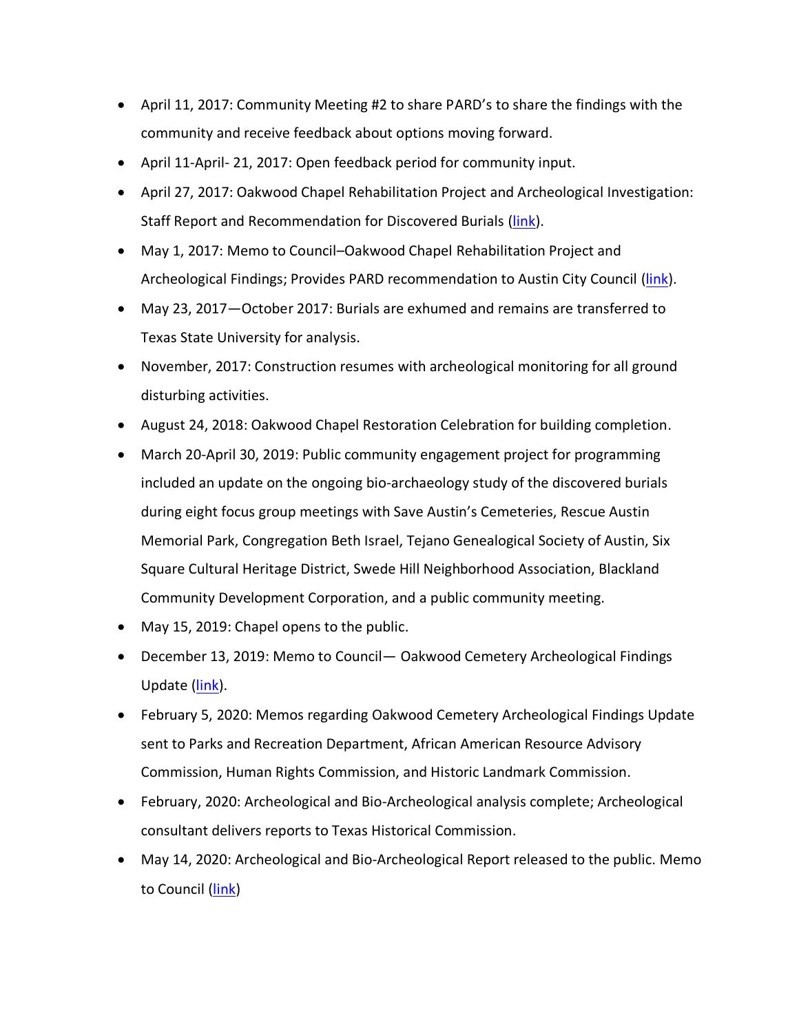- April 11, 2017: Community Meeting #2 to share PARD's to share the findings with the community and receive feedback about options moving forward.
- April 11‐April- 21, 2017: Open feedback period for community input.
- April 27, 2017: Oakwood Chapel Rehabilitation Project and Archeological Investigation: Staff Report and Recommendation for Discovered Burials [\(link\)](https://www.austintexas.gov/sites/default/files/files/Parks/Planning_and_Development/172704_FINAL_BINDER_OakwoodStaffReport.pdf).
- May 1, 2017: Memo to Council–Oakwood Chapel Rehabilitation Project and Archeological Findings; Provides PARD recommendation to Austin City Council [\(link\)](https://www.austintexas.gov/edims/pio/document.cfm?id=276185).
- May 23, 2017—October 2017: Burials are exhumed and remains are transferred to Texas State University for analysis.
- November, 2017: Construction resumes with archeological monitoring for all ground disturbing activities.
- August 24, 2018: Oakwood Chapel Restoration Celebration for building completion.
- March 20-April 30, 2019: Public community engagement project for programming included an update on the ongoing bio-archaeology study of the discovered burials during eight focus group meetings with Save Austin's Cemeteries, Rescue Austin Memorial Park, Congregation Beth Israel, Tejano Genealogical Society of Austin, Six Square Cultural Heritage District, Swede Hill Neighborhood Association, Blackland Community Development Corporation, and a public community meeting.
- May 15, 2019: Chapel opens to the public.
- December 13, 2019: Memo to Council— Oakwood Cemetery Archeological Findings Update [\(link\)](http://www.austintexas.gov/edims/pio/document.cfm?id=332920).
- February 5, 2020: Memos regarding Oakwood Cemetery Archeological Findings Update sent to Parks and Recreation Department, African American Resource Advisory Commission, Human Rights Commission, and Historic Landmark Commission.
- February, 2020: Archeological and Bio-Archeological analysis complete; Archeological consultant delivers reports to Texas Historical Commission.
- May 14, 2020: Archeological and Bio-Archeological Report released to the public. Memo to Council [\(link\)](http://www.austintexas.gov/edims/pio/document.cfm?id=340397)